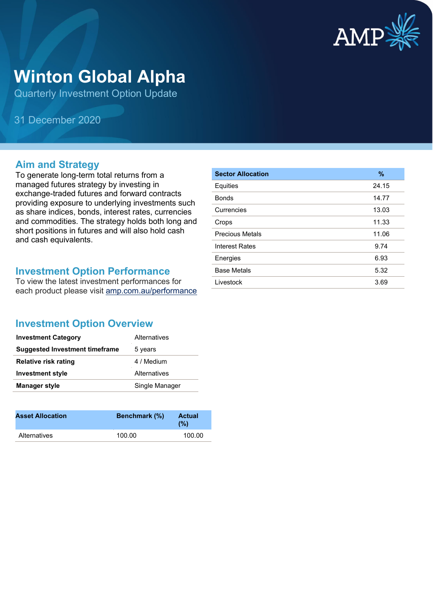

# **Winton Global Alpha**

Quarterly Investment Option Update

31 December 2020

#### **Aim and Strategy**

To generate long-term total returns from a managed futures strategy by investing in exchange-traded futures and forward contracts providing exposure to underlying investments such as share indices, bonds, interest rates, currencies and commodities. The strategy holds both long and short positions in futures and will also hold cash and cash equivalents.

#### **Investment Option Performance**

To view the latest investment performances for each product please visit [amp.com.au/performance](https://www.amp.com.au/performance)

| <b>Sector Allocation</b> | $\%$  |
|--------------------------|-------|
| Equities                 | 24.15 |
| <b>Bonds</b>             | 14.77 |
| Currencies               | 13.03 |
| Crops                    | 11.33 |
| <b>Precious Metals</b>   | 11.06 |
| <b>Interest Rates</b>    | 9.74  |
| Energies                 | 6.93  |
| <b>Base Metals</b>       | 5.32  |
| Livestock                | 3.69  |

### **Investment Option Overview**

| <b>Investment Category</b>            | Alternatives   |
|---------------------------------------|----------------|
| <b>Suggested Investment timeframe</b> | 5 years        |
| <b>Relative risk rating</b>           | 4 / Medium     |
| <b>Investment style</b>               | Alternatives   |
| <b>Manager style</b>                  | Single Manager |

| <b>Asset Allocation</b> | <b>Benchmark</b> (%) | <b>Actual</b><br>(%) |
|-------------------------|----------------------|----------------------|
| <b>Alternatives</b>     | 100.00               | 100.00               |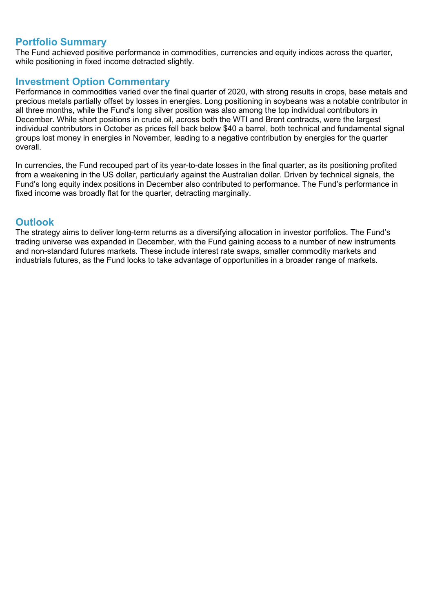#### **Portfolio Summary**

The Fund achieved positive performance in commodities, currencies and equity indices across the quarter, while positioning in fixed income detracted slightly.

#### **Investment Option Commentary**

Performance in commodities varied over the final quarter of 2020, with strong results in crops, base metals and precious metals partially offset by losses in energies. Long positioning in soybeans was a notable contributor in all three months, while the Fund's long silver position was also among the top individual contributors in December. While short positions in crude oil, across both the WTI and Brent contracts, were the largest individual contributors in October as prices fell back below \$40 a barrel, both technical and fundamental signal groups lost money in energies in November, leading to a negative contribution by energies for the quarter overall.

In currencies, the Fund recouped part of its year-to-date losses in the final quarter, as its positioning profited from a weakening in the US dollar, particularly against the Australian dollar. Driven by technical signals, the Fund's long equity index positions in December also contributed to performance. The Fund's performance in fixed income was broadly flat for the quarter, detracting marginally.

#### **Outlook**

The strategy aims to deliver long-term returns as a diversifying allocation in investor portfolios. The Fund's trading universe was expanded in December, with the Fund gaining access to a number of new instruments and non-standard futures markets. These include interest rate swaps, smaller commodity markets and industrials futures, as the Fund looks to take advantage of opportunities in a broader range of markets.